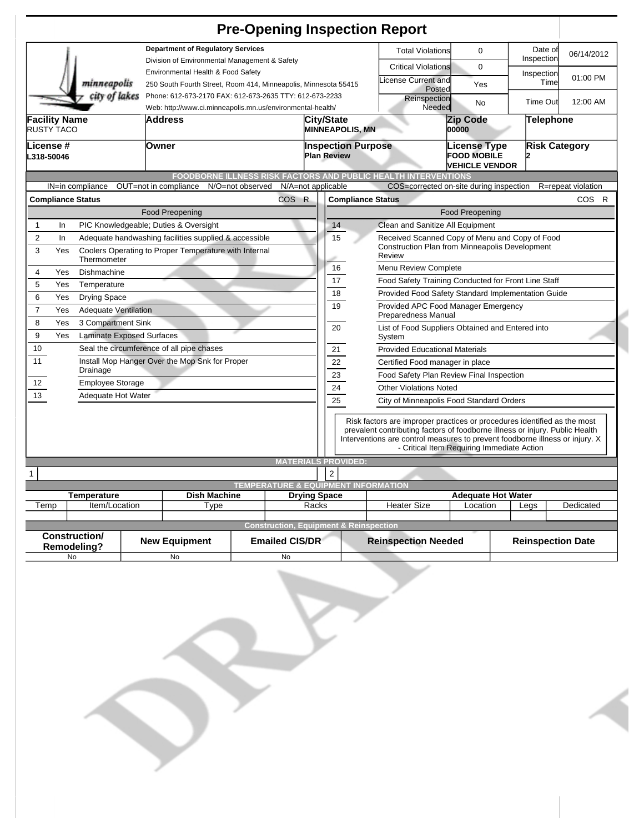|                                                                                                                                                                   |                                                                                                                       | <b>Pre-Opening Inspection Report</b>                                                                  |                                                                                                            |                                             |                                                                                                                                                                                                                                          |                                            |                    |                    |  |
|-------------------------------------------------------------------------------------------------------------------------------------------------------------------|-----------------------------------------------------------------------------------------------------------------------|-------------------------------------------------------------------------------------------------------|------------------------------------------------------------------------------------------------------------|---------------------------------------------|------------------------------------------------------------------------------------------------------------------------------------------------------------------------------------------------------------------------------------------|--------------------------------------------|--------------------|--------------------|--|
| <b>Department of Regulatory Services</b><br>Division of Environmental Management & Safety                                                                         |                                                                                                                       |                                                                                                       |                                                                                                            | <b>Total Violations</b>                     | 0                                                                                                                                                                                                                                        | Date of<br>Inspection                      | 06/14/2012         |                    |  |
| minneapolis                                                                                                                                                       |                                                                                                                       | Environmental Health & Food Safety<br>250 South Fourth Street, Room 414, Minneapolis, Minnesota 55415 |                                                                                                            |                                             | <b>Critical Violations</b><br>icense Current and<br>Posted                                                                                                                                                                               | 0<br>Yes                                   | Inspection<br>Time | 01:00 PM           |  |
| city of lakes                                                                                                                                                     | Phone: 612-673-2170 FAX: 612-673-2635 TTY: 612-673-2233<br>Web: http://www.ci.minneapolis.mn.us/environmental-health/ |                                                                                                       |                                                                                                            | Reinspection<br>Needed                      |                                                                                                                                                                                                                                          | No                                         | Time Out           | 12:00 AM           |  |
| Facility Name<br>RUSTY TACO                                                                                                                                       | <b>Address</b>                                                                                                        |                                                                                                       |                                                                                                            | <b>City/State</b><br><b>MINNEAPOLIS, MN</b> |                                                                                                                                                                                                                                          | <b>Zip Code</b><br>00000                   | <b>Telephone</b>   |                    |  |
| License #<br>L318-50046                                                                                                                                           | Owner                                                                                                                 | <b>Inspection Purpose</b><br><b>Plan Review</b>                                                       |                                                                                                            |                                             | License Type<br><b>FOOD MOBILE</b><br><b>VEHICLE VENDOR</b>                                                                                                                                                                              | <b>Risk Category</b>                       |                    |                    |  |
|                                                                                                                                                                   |                                                                                                                       |                                                                                                       |                                                                                                            |                                             | FOODBORNE ILLNESS RISK FACTORS AND PUBLIC HEALTH INTERVENTIONS                                                                                                                                                                           |                                            |                    |                    |  |
| IN=in compliance                                                                                                                                                  | OUT=not in compliance                                                                                                 | N/O=not observed                                                                                      | N/A=not applicable                                                                                         |                                             | COS=corrected on-site during inspection                                                                                                                                                                                                  |                                            |                    | R=repeat violation |  |
| <b>Compliance Status</b>                                                                                                                                          |                                                                                                                       | COS R                                                                                                 |                                                                                                            | <b>Compliance Status</b>                    |                                                                                                                                                                                                                                          |                                            |                    | COS R              |  |
|                                                                                                                                                                   | <b>Food Preopening</b>                                                                                                |                                                                                                       |                                                                                                            |                                             |                                                                                                                                                                                                                                          | <b>Food Preopening</b>                     |                    |                    |  |
| 1<br>In                                                                                                                                                           | PIC Knowledgeable; Duties & Oversight                                                                                 |                                                                                                       |                                                                                                            | 14                                          | Clean and Sanitize All Equipment                                                                                                                                                                                                         |                                            |                    |                    |  |
| $\overline{c}$<br>Adequate handwashing facilities supplied & accessible<br>In<br>3<br>Coolers Operating to Proper Temperature with Internal<br>Yes<br>Thermometer |                                                                                                                       | 15                                                                                                    | Received Scanned Copy of Menu and Copy of Food<br>Construction Plan from Minneapolis Development<br>Review |                                             |                                                                                                                                                                                                                                          |                                            |                    |                    |  |
| $\overline{4}$<br>Yes<br>Dishmachine                                                                                                                              |                                                                                                                       |                                                                                                       |                                                                                                            | 16                                          | Menu Review Complete                                                                                                                                                                                                                     |                                            |                    |                    |  |
| 5<br>Yes<br>Temperature                                                                                                                                           |                                                                                                                       |                                                                                                       |                                                                                                            | 17                                          | Food Safety Training Conducted for Front Line Staff                                                                                                                                                                                      |                                            |                    |                    |  |
| 6<br>Yes                                                                                                                                                          |                                                                                                                       |                                                                                                       |                                                                                                            | 18                                          | Provided Food Safety Standard Implementation Guide                                                                                                                                                                                       |                                            |                    |                    |  |
| <b>Drying Space</b><br>$\overline{7}$<br>Yes<br><b>Adequate Ventilation</b>                                                                                       |                                                                                                                       |                                                                                                       |                                                                                                            | 19                                          | Provided APC Food Manager Emergency<br>Preparedness Manual                                                                                                                                                                               |                                            |                    |                    |  |
| 8<br>3 Compartment Sink<br>Yes<br>9<br>Yes<br><b>Laminate Exposed Surfaces</b>                                                                                    |                                                                                                                       |                                                                                                       |                                                                                                            | 20                                          | List of Food Suppliers Obtained and Entered into<br>System                                                                                                                                                                               |                                            |                    |                    |  |
| 10                                                                                                                                                                | Seal the circumference of all pipe chases                                                                             |                                                                                                       |                                                                                                            | 21                                          | <b>Provided Educational Materials</b>                                                                                                                                                                                                    |                                            |                    |                    |  |
| 11<br>Install Mop Hanger Over the Mop Snk for Proper                                                                                                              |                                                                                                                       |                                                                                                       |                                                                                                            | 22                                          | Certified Food manager in place                                                                                                                                                                                                          |                                            |                    |                    |  |
| Drainage                                                                                                                                                          |                                                                                                                       |                                                                                                       |                                                                                                            | 23                                          | Food Safety Plan Review Final Inspection                                                                                                                                                                                                 |                                            |                    |                    |  |
| 12<br><b>Employee Storage</b>                                                                                                                                     |                                                                                                                       |                                                                                                       |                                                                                                            | 24                                          | <b>Other Violations Noted</b>                                                                                                                                                                                                            |                                            |                    |                    |  |
| 13<br>Adequate Hot Water                                                                                                                                          |                                                                                                                       |                                                                                                       |                                                                                                            | 25                                          | City of Minneapolis Food Standard Orders                                                                                                                                                                                                 |                                            |                    |                    |  |
|                                                                                                                                                                   |                                                                                                                       |                                                                                                       |                                                                                                            |                                             | Risk factors are improper practices or procedures identified as the most<br>prevalent contributing factors of foodborne illness or injury. Public Health<br>Interventions are control measures to prevent foodborne illness or injury. X | - Critical Item Requiring Immediate Action |                    |                    |  |
|                                                                                                                                                                   |                                                                                                                       |                                                                                                       | <b>MATERIALS PROVIDED:</b>                                                                                 |                                             |                                                                                                                                                                                                                                          |                                            |                    |                    |  |
| 1                                                                                                                                                                 |                                                                                                                       |                                                                                                       | $\overline{c}$                                                                                             |                                             |                                                                                                                                                                                                                                          |                                            |                    |                    |  |
|                                                                                                                                                                   |                                                                                                                       | <b>TEMPERATURE &amp; EQUIPMENT INFORMATION</b>                                                        | <b>Drying Space</b>                                                                                        |                                             |                                                                                                                                                                                                                                          |                                            |                    |                    |  |
| <b>Temperature</b><br>Item/Location<br>Temp                                                                                                                       | Type                                                                                                                  | <b>Dish Machine</b>                                                                                   |                                                                                                            |                                             | <b>Heater Size</b>                                                                                                                                                                                                                       | <b>Adequate Hot Water</b><br>Location      | Legs               | Dedicated          |  |
|                                                                                                                                                                   |                                                                                                                       |                                                                                                       | Racks                                                                                                      |                                             |                                                                                                                                                                                                                                          |                                            |                    |                    |  |
|                                                                                                                                                                   |                                                                                                                       | <b>Construction, Equipment &amp; Reinspection</b>                                                     |                                                                                                            |                                             |                                                                                                                                                                                                                                          |                                            |                    |                    |  |
| <b>Construction/</b><br><b>Emailed CIS/DR</b><br><b>New Equipment</b><br>Remodeling?                                                                              |                                                                                                                       |                                                                                                       | <b>Reinspection Needed</b>                                                                                 |                                             | <b>Reinspection Date</b>                                                                                                                                                                                                                 |                                            |                    |                    |  |
| No                                                                                                                                                                | No                                                                                                                    | <b>No</b>                                                                                             |                                                                                                            |                                             |                                                                                                                                                                                                                                          |                                            |                    |                    |  |